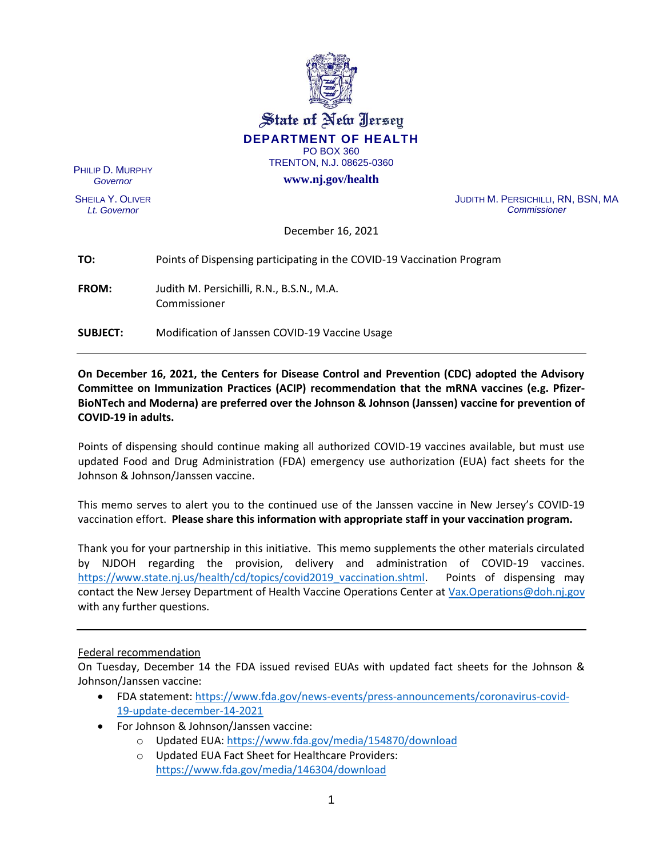

State of New Jersey **DEPARTMENT OF HEALTH** PO BOX 360

TRENTON, N.J. 08625-0360

**www.nj.gov/health**

PHILIP D. MURPHY *Governor*

SHEILA Y. OLIVER *Lt. Governor*

JUDITH M. PERSICHILLI, RN, BSN, MA *Commissioner*

December 16, 2021

| TO:             | Points of Dispensing participating in the COVID-19 Vaccination Program |
|-----------------|------------------------------------------------------------------------|
| <b>FROM:</b>    | Judith M. Persichilli, R.N., B.S.N., M.A.<br>Commissioner              |
| <b>SUBJECT:</b> | Modification of Janssen COVID-19 Vaccine Usage                         |

**On December 16, 2021, the Centers for Disease Control and Prevention (CDC) adopted the Advisory Committee on Immunization Practices (ACIP) recommendation that the mRNA vaccines (e.g. Pfizer-BioNTech and Moderna) are preferred over the Johnson & Johnson (Janssen) vaccine for prevention of COVID-19 in adults.**

Points of dispensing should continue making all authorized COVID-19 vaccines available, but must use updated Food and Drug Administration (FDA) emergency use authorization (EUA) fact sheets for the Johnson & Johnson/Janssen vaccine.

This memo serves to alert you to the continued use of the Janssen vaccine in New Jersey's COVID-19 vaccination effort. **Please share this information with appropriate staff in your vaccination program.** 

Thank you for your partnership in this initiative. This memo supplements the other materials circulated by NJDOH regarding the provision, delivery and administration of COVID-19 vaccines. https://www.state.nj.us/health/cd/topics/covid2019 vaccination.shtml. Points of dispensing may contact the New Jersey Department of Health Vaccine Operations Center at [Vax.Operations@doh.nj.gov](mailto:Vax.Operations@doh.nj.gov) with any further questions.

## Federal recommendation

On Tuesday, December 14 the FDA issued revised EUAs with updated fact sheets for the Johnson & Johnson/Janssen vaccine:

- FDA statement: [https://www.fda.gov/news-events/press-announcements/coronavirus-covid-](https://www.fda.gov/news-events/press-announcements/coronavirus-covid-19-update-december-14-2021)[19-update-december-14-2021](https://www.fda.gov/news-events/press-announcements/coronavirus-covid-19-update-december-14-2021)
- For Johnson & Johnson/Janssen vaccine:
	- o Updated EUA[: https://www.fda.gov/media/154870/download](https://www.fda.gov/media/154870/download)
	- o Updated EUA Fact Sheet for Healthcare Providers: <https://www.fda.gov/media/146304/download>